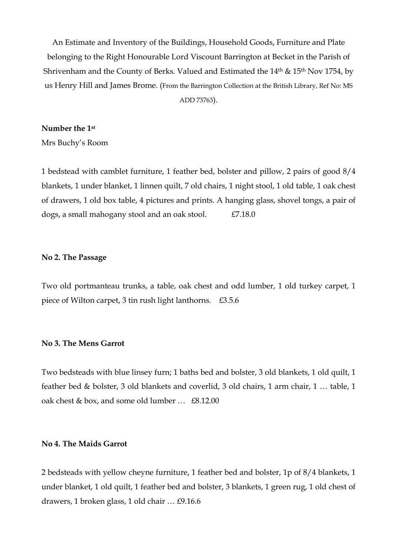An Estimate and Inventory of the Buildings, Household Goods, Furniture and Plate belonging to the Right Honourable Lord Viscount Barrington at Becket in the Parish of Shrivenham and the County of Berks. Valued and Estimated the  $14<sup>th</sup>$  &  $15<sup>th</sup>$  Nov 1754, by us Henry Hill and James Brome. (From the Barrington Collection at the British Library, Ref No: MS ADD 73763).

## **Number the 1st**

Mrs Buchy's Room

1 bedstead with camblet furniture, 1 feather bed, bolster and pillow, 2 pairs of good 8/4 blankets, 1 under blanket, 1 linnen quilt, 7 old chairs, 1 night stool, 1 old table, 1 oak chest of drawers, 1 old box table, 4 pictures and prints. A hanging glass, shovel tongs, a pair of dogs, a small mahogany stool and an oak stool.  $£7.18.0$ 

## **No 2. The Passage**

Two old portmanteau trunks, a table, oak chest and odd lumber, 1 old turkey carpet, 1 piece of Wilton carpet, 3 tin rush light lanthorns. £3.5.6

## **No 3. The Mens Garrot**

Two bedsteads with blue linsey furn; 1 baths bed and bolster, 3 old blankets, 1 old quilt, 1 feather bed & bolster, 3 old blankets and coverlid, 3 old chairs, 1 arm chair, 1 … table, 1 oak chest & box, and some old lumber … £8.12.00

## **No 4. The Maids Garrot**

2 bedsteads with yellow cheyne furniture, 1 feather bed and bolster, 1p of 8/4 blankets, 1 under blanket, 1 old quilt, 1 feather bed and bolster, 3 blankets, 1 green rug, 1 old chest of drawers, 1 broken glass, 1 old chair … £9.16.6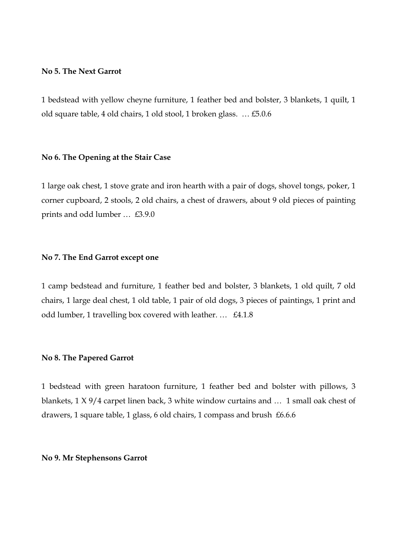## **No 5. The Next Garrot**

1 bedstead with yellow cheyne furniture, 1 feather bed and bolster, 3 blankets, 1 quilt, 1 old square table, 4 old chairs, 1 old stool, 1 broken glass. … £5.0.6

### **No 6. The Opening at the Stair Case**

1 large oak chest, 1 stove grate and iron hearth with a pair of dogs, shovel tongs, poker, 1 corner cupboard, 2 stools, 2 old chairs, a chest of drawers, about 9 old pieces of painting prints and odd lumber … £3.9.0

## **No 7. The End Garrot except one**

1 camp bedstead and furniture, 1 feather bed and bolster, 3 blankets, 1 old quilt, 7 old chairs, 1 large deal chest, 1 old table, 1 pair of old dogs, 3 pieces of paintings, 1 print and odd lumber, 1 travelling box covered with leather. … £4.1.8

#### **No 8. The Papered Garrot**

1 bedstead with green haratoon furniture, 1 feather bed and bolster with pillows, 3 blankets, 1 X 9/4 carpet linen back, 3 white window curtains and … 1 small oak chest of drawers, 1 square table, 1 glass, 6 old chairs, 1 compass and brush £6.6.6

#### **No 9. Mr Stephensons Garrot**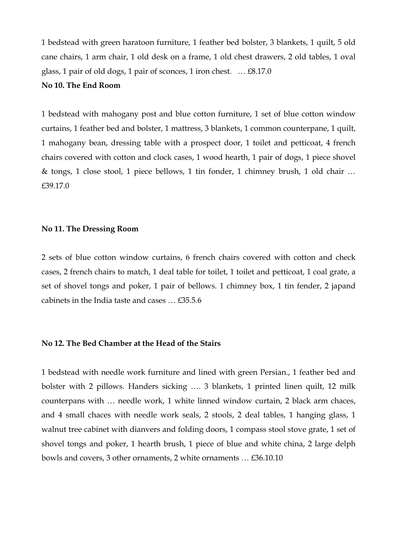1 bedstead with green haratoon furniture, 1 feather bed bolster, 3 blankets, 1 quilt, 5 old cane chairs, 1 arm chair, 1 old desk on a frame, 1 old chest drawers, 2 old tables, 1 oval glass, 1 pair of old dogs, 1 pair of sconces, 1 iron chest. … £8.17.0

## **No 10. The End Room**

1 bedstead with mahogany post and blue cotton furniture, 1 set of blue cotton window curtains, 1 feather bed and bolster, 1 mattress, 3 blankets, 1 common counterpane, 1 quilt, 1 mahogany bean, dressing table with a prospect door, 1 toilet and petticoat, 4 french chairs covered with cotton and clock cases, 1 wood hearth, 1 pair of dogs, 1 piece shovel & tongs, 1 close stool, 1 piece bellows, 1 tin fonder, 1 chimney brush, 1 old chair … £39.17.0

#### **No 11. The Dressing Room**

2 sets of blue cotton window curtains, 6 french chairs covered with cotton and check cases, 2 french chairs to match, 1 deal table for toilet, 1 toilet and petticoat, 1 coal grate, a set of shovel tongs and poker, 1 pair of bellows. 1 chimney box, 1 tin fender, 2 japand cabinets in the India taste and cases … £35.5.6

## **No 12. The Bed Chamber at the Head of the Stairs**

1 bedstead with needle work furniture and lined with green Persian., 1 feather bed and bolster with 2 pillows. Handers sicking …. 3 blankets, 1 printed linen quilt, 12 milk counterpans with … needle work, 1 white linned window curtain, 2 black arm chaces, and 4 small chaces with needle work seals, 2 stools, 2 deal tables, 1 hanging glass, 1 walnut tree cabinet with dianvers and folding doors, 1 compass stool stove grate, 1 set of shovel tongs and poker, 1 hearth brush, 1 piece of blue and white china, 2 large delph bowls and covers, 3 other ornaments, 2 white ornaments … £36.10.10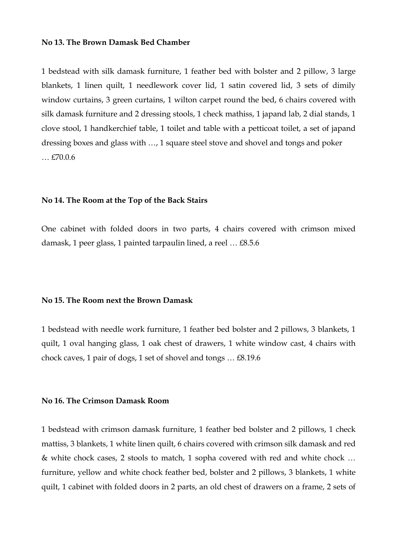#### **No 13. The Brown Damask Bed Chamber**

1 bedstead with silk damask furniture, 1 feather bed with bolster and 2 pillow, 3 large blankets, 1 linen quilt, 1 needlework cover lid, 1 satin covered lid, 3 sets of dimily window curtains, 3 green curtains, 1 wilton carpet round the bed, 6 chairs covered with silk damask furniture and 2 dressing stools, 1 check mathiss, 1 japand lab, 2 dial stands, 1 clove stool, 1 handkerchief table, 1 toilet and table with a petticoat toilet, a set of japand dressing boxes and glass with …, 1 square steel stove and shovel and tongs and poker … £70.0.6

#### **No 14. The Room at the Top of the Back Stairs**

One cabinet with folded doors in two parts, 4 chairs covered with crimson mixed damask, 1 peer glass, 1 painted tarpaulin lined, a reel … £8.5.6

## **No 15. The Room next the Brown Damask**

1 bedstead with needle work furniture, 1 feather bed bolster and 2 pillows, 3 blankets, 1 quilt, 1 oval hanging glass, 1 oak chest of drawers, 1 white window cast, 4 chairs with chock caves, 1 pair of dogs, 1 set of shovel and tongs … £8.19.6

### **No 16. The Crimson Damask Room**

1 bedstead with crimson damask furniture, 1 feather bed bolster and 2 pillows, 1 check mattiss, 3 blankets, 1 white linen quilt, 6 chairs covered with crimson silk damask and red & white chock cases, 2 stools to match, 1 sopha covered with red and white chock … furniture, yellow and white chock feather bed, bolster and 2 pillows, 3 blankets, 1 white quilt, 1 cabinet with folded doors in 2 parts, an old chest of drawers on a frame, 2 sets of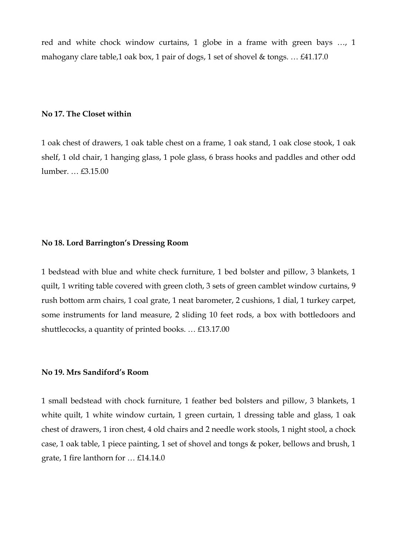red and white chock window curtains, 1 globe in a frame with green bays …, 1 mahogany clare table,1 oak box, 1 pair of dogs, 1 set of shovel & tongs. … £41.17.0

## **No 17. The Closet within**

1 oak chest of drawers, 1 oak table chest on a frame, 1 oak stand, 1 oak close stook, 1 oak shelf, 1 old chair, 1 hanging glass, 1 pole glass, 6 brass hooks and paddles and other odd lumber. … £3.15.00

#### **No 18. Lord Barrington's Dressing Room**

1 bedstead with blue and white check furniture, 1 bed bolster and pillow, 3 blankets, 1 quilt, 1 writing table covered with green cloth, 3 sets of green camblet window curtains, 9 rush bottom arm chairs, 1 coal grate, 1 neat barometer, 2 cushions, 1 dial, 1 turkey carpet, some instruments for land measure, 2 sliding 10 feet rods, a box with bottledoors and shuttlecocks, a quantity of printed books. … £13.17.00

## **No 19. Mrs Sandiford's Room**

1 small bedstead with chock furniture, 1 feather bed bolsters and pillow, 3 blankets, 1 white quilt, 1 white window curtain, 1 green curtain, 1 dressing table and glass, 1 oak chest of drawers, 1 iron chest, 4 old chairs and 2 needle work stools, 1 night stool, a chock case, 1 oak table, 1 piece painting, 1 set of shovel and tongs & poker, bellows and brush, 1 grate, 1 fire lanthorn for … £14.14.0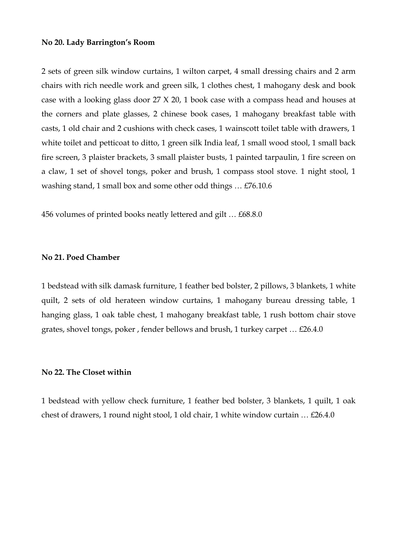#### **No 20. Lady Barrington's Room**

2 sets of green silk window curtains, 1 wilton carpet, 4 small dressing chairs and 2 arm chairs with rich needle work and green silk, 1 clothes chest, 1 mahogany desk and book case with a looking glass door 27 X 20, 1 book case with a compass head and houses at the corners and plate glasses, 2 chinese book cases, 1 mahogany breakfast table with casts, 1 old chair and 2 cushions with check cases, 1 wainscott toilet table with drawers, 1 white toilet and petticoat to ditto, 1 green silk India leaf, 1 small wood stool, 1 small back fire screen, 3 plaister brackets, 3 small plaister busts, 1 painted tarpaulin, 1 fire screen on a claw, 1 set of shovel tongs, poker and brush, 1 compass stool stove. 1 night stool, 1 washing stand, 1 small box and some other odd things … £76.10.6

456 volumes of printed books neatly lettered and gilt … £68.8.0

### **No 21. Poed Chamber**

1 bedstead with silk damask furniture, 1 feather bed bolster, 2 pillows, 3 blankets, 1 white quilt, 2 sets of old herateen window curtains, 1 mahogany bureau dressing table, 1 hanging glass, 1 oak table chest, 1 mahogany breakfast table, 1 rush bottom chair stove grates, shovel tongs, poker , fender bellows and brush, 1 turkey carpet … £26.4.0

## **No 22. The Closet within**

1 bedstead with yellow check furniture, 1 feather bed bolster, 3 blankets, 1 quilt, 1 oak chest of drawers, 1 round night stool, 1 old chair, 1 white window curtain … £26.4.0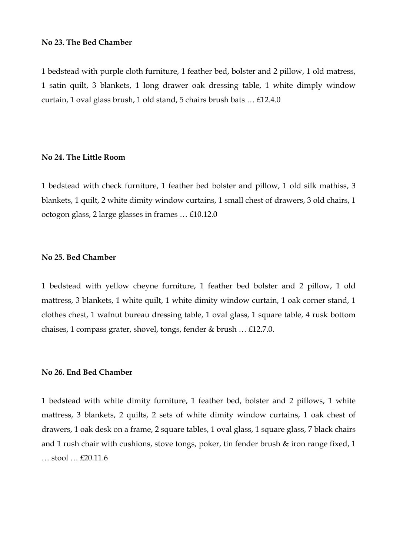#### **No 23. The Bed Chamber**

1 bedstead with purple cloth furniture, 1 feather bed, bolster and 2 pillow, 1 old matress, 1 satin quilt, 3 blankets, 1 long drawer oak dressing table, 1 white dimply window curtain, 1 oval glass brush, 1 old stand, 5 chairs brush bats … £12.4.0

#### **No 24. The Little Room**

1 bedstead with check furniture, 1 feather bed bolster and pillow, 1 old silk mathiss, 3 blankets, 1 quilt, 2 white dimity window curtains, 1 small chest of drawers, 3 old chairs, 1 octogon glass, 2 large glasses in frames … £10.12.0

### **No 25. Bed Chamber**

1 bedstead with yellow cheyne furniture, 1 feather bed bolster and 2 pillow, 1 old mattress, 3 blankets, 1 white quilt, 1 white dimity window curtain, 1 oak corner stand, 1 clothes chest, 1 walnut bureau dressing table, 1 oval glass, 1 square table, 4 rusk bottom chaises, 1 compass grater, shovel, tongs, fender & brush … £12.7.0.

## **No 26. End Bed Chamber**

1 bedstead with white dimity furniture, 1 feather bed, bolster and 2 pillows, 1 white mattress, 3 blankets, 2 quilts, 2 sets of white dimity window curtains, 1 oak chest of drawers, 1 oak desk on a frame, 2 square tables, 1 oval glass, 1 square glass, 7 black chairs and 1 rush chair with cushions, stove tongs, poker, tin fender brush & iron range fixed, 1 … stool … £20.11.6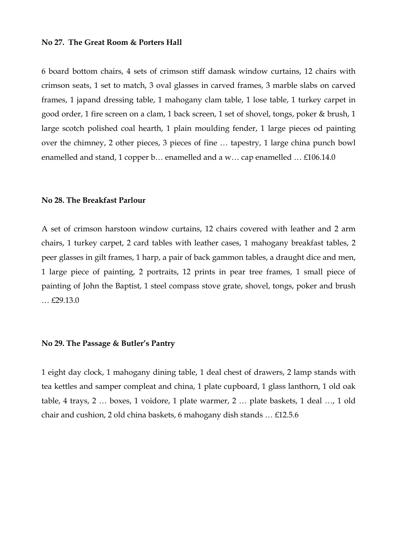#### **No 27. The Great Room & Porters Hall**

6 board bottom chairs, 4 sets of crimson stiff damask window curtains, 12 chairs with crimson seats, 1 set to match, 3 oval glasses in carved frames, 3 marble slabs on carved frames, 1 japand dressing table, 1 mahogany clam table, 1 lose table, 1 turkey carpet in good order, 1 fire screen on a clam, 1 back screen, 1 set of shovel, tongs, poker & brush, 1 large scotch polished coal hearth, 1 plain moulding fender, 1 large pieces od painting over the chimney, 2 other pieces, 3 pieces of fine … tapestry, 1 large china punch bowl enamelled and stand, 1 copper b… enamelled and a w… cap enamelled … £106.14.0

## **No 28. The Breakfast Parlour**

A set of crimson harstoon window curtains, 12 chairs covered with leather and 2 arm chairs, 1 turkey carpet, 2 card tables with leather cases, 1 mahogany breakfast tables, 2 peer glasses in gilt frames, 1 harp, a pair of back gammon tables, a draught dice and men, 1 large piece of painting, 2 portraits, 12 prints in pear tree frames, 1 small piece of painting of John the Baptist, 1 steel compass stove grate, shovel, tongs, poker and brush … £29.13.0

### **No 29. The Passage & Butler's Pantry**

1 eight day clock, 1 mahogany dining table, 1 deal chest of drawers, 2 lamp stands with tea kettles and samper compleat and china, 1 plate cupboard, 1 glass lanthorn, 1 old oak table, 4 trays, 2 … boxes, 1 voidore, 1 plate warmer, 2 … plate baskets, 1 deal …, 1 old chair and cushion, 2 old china baskets, 6 mahogany dish stands … £12.5.6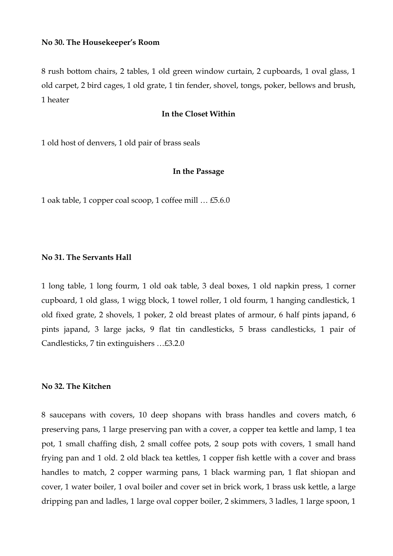8 rush bottom chairs, 2 tables, 1 old green window curtain, 2 cupboards, 1 oval glass, 1 old carpet, 2 bird cages, 1 old grate, 1 tin fender, shovel, tongs, poker, bellows and brush, 1 heater

## **In the Closet Within**

1 old host of denvers, 1 old pair of brass seals

### **In the Passage**

1 oak table, 1 copper coal scoop, 1 coffee mill … £5.6.0

## **No 31. The Servants Hall**

1 long table, 1 long fourm, 1 old oak table, 3 deal boxes, 1 old napkin press, 1 corner cupboard, 1 old glass, 1 wigg block, 1 towel roller, 1 old fourm, 1 hanging candlestick, 1 old fixed grate, 2 shovels, 1 poker, 2 old breast plates of armour, 6 half pints japand, 6 pints japand, 3 large jacks, 9 flat tin candlesticks, 5 brass candlesticks, 1 pair of Candlesticks, 7 tin extinguishers …£3.2.0

## **No 32. The Kitchen**

8 saucepans with covers, 10 deep shopans with brass handles and covers match, 6 preserving pans, 1 large preserving pan with a cover, a copper tea kettle and lamp, 1 tea pot, 1 small chaffing dish, 2 small coffee pots, 2 soup pots with covers, 1 small hand frying pan and 1 old. 2 old black tea kettles, 1 copper fish kettle with a cover and brass handles to match, 2 copper warming pans, 1 black warming pan, 1 flat shiopan and cover, 1 water boiler, 1 oval boiler and cover set in brick work, 1 brass usk kettle, a large dripping pan and ladles, 1 large oval copper boiler, 2 skimmers, 3 ladles, 1 large spoon, 1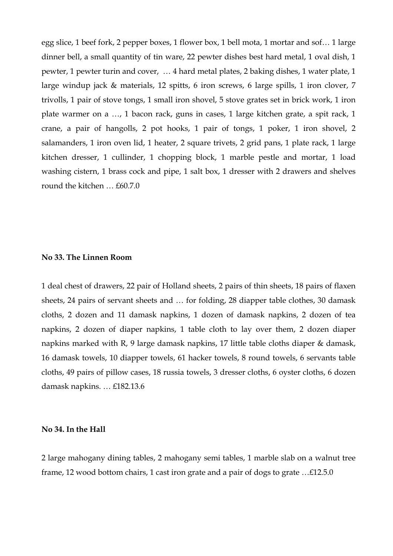egg slice, 1 beef fork, 2 pepper boxes, 1 flower box, 1 bell mota, 1 mortar and sof… 1 large dinner bell, a small quantity of tin ware, 22 pewter dishes best hard metal, 1 oval dish, 1 pewter, 1 pewter turin and cover, … 4 hard metal plates, 2 baking dishes, 1 water plate, 1 large windup jack & materials, 12 spitts, 6 iron screws, 6 large spills, 1 iron clover, 7 trivolls, 1 pair of stove tongs, 1 small iron shovel, 5 stove grates set in brick work, 1 iron plate warmer on a …, 1 bacon rack, guns in cases, 1 large kitchen grate, a spit rack, 1 crane, a pair of hangolls, 2 pot hooks, 1 pair of tongs, 1 poker, 1 iron shovel, 2 salamanders, 1 iron oven lid, 1 heater, 2 square trivets, 2 grid pans, 1 plate rack, 1 large kitchen dresser, 1 cullinder, 1 chopping block, 1 marble pestle and mortar, 1 load washing cistern, 1 brass cock and pipe, 1 salt box, 1 dresser with 2 drawers and shelves round the kitchen … £60.7.0

#### **No 33. The Linnen Room**

1 deal chest of drawers, 22 pair of Holland sheets, 2 pairs of thin sheets, 18 pairs of flaxen sheets, 24 pairs of servant sheets and … for folding, 28 diapper table clothes, 30 damask cloths, 2 dozen and 11 damask napkins, 1 dozen of damask napkins, 2 dozen of tea napkins, 2 dozen of diaper napkins, 1 table cloth to lay over them, 2 dozen diaper napkins marked with R, 9 large damask napkins, 17 little table cloths diaper & damask, 16 damask towels, 10 diapper towels, 61 hacker towels, 8 round towels, 6 servants table cloths, 49 pairs of pillow cases, 18 russia towels, 3 dresser cloths, 6 oyster cloths, 6 dozen damask napkins. … £182.13.6

#### **No 34. In the Hall**

2 large mahogany dining tables, 2 mahogany semi tables, 1 marble slab on a walnut tree frame, 12 wood bottom chairs, 1 cast iron grate and a pair of dogs to grate …£12.5.0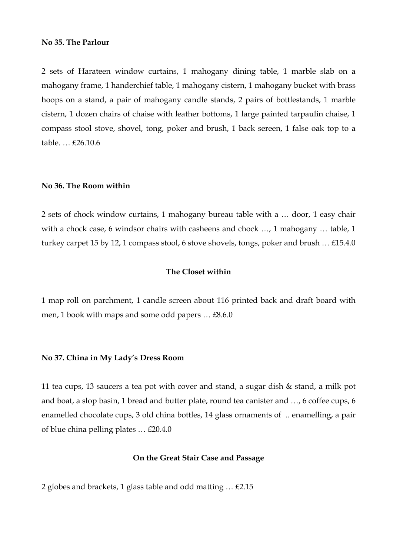#### **No 35. The Parlour**

2 sets of Harateen window curtains, 1 mahogany dining table, 1 marble slab on a mahogany frame, 1 handerchief table, 1 mahogany cistern, 1 mahogany bucket with brass hoops on a stand, a pair of mahogany candle stands, 2 pairs of bottlestands, 1 marble cistern, 1 dozen chairs of chaise with leather bottoms, 1 large painted tarpaulin chaise, 1 compass stool stove, shovel, tong, poker and brush, 1 back sereen, 1 false oak top to a table. … £26.10.6

#### **No 36. The Room within**

2 sets of chock window curtains, 1 mahogany bureau table with a … door, 1 easy chair with a chock case, 6 windsor chairs with casheens and chock …, 1 mahogany … table, 1 turkey carpet 15 by 12, 1 compass stool, 6 stove shovels, tongs, poker and brush … £15.4.0

## **The Closet within**

1 map roll on parchment, 1 candle screen about 116 printed back and draft board with men, 1 book with maps and some odd papers … £8.6.0

#### **No 37. China in My Lady's Dress Room**

11 tea cups, 13 saucers a tea pot with cover and stand, a sugar dish & stand, a milk pot and boat, a slop basin, 1 bread and butter plate, round tea canister and …, 6 coffee cups, 6 enamelled chocolate cups, 3 old china bottles, 14 glass ornaments of .. enamelling, a pair of blue china pelling plates … £20.4.0

## **On the Great Stair Case and Passage**

2 globes and brackets, 1 glass table and odd matting … £2.15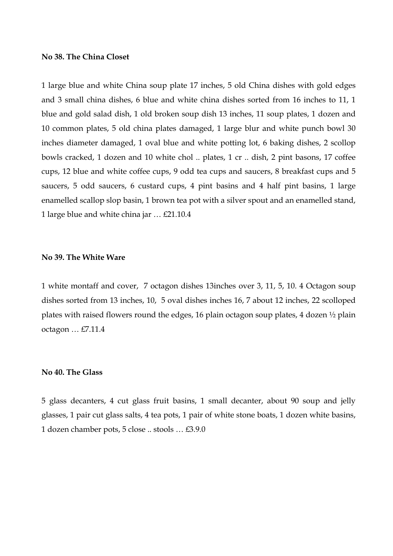#### **No 38. The China Closet**

1 large blue and white China soup plate 17 inches, 5 old China dishes with gold edges and 3 small china dishes, 6 blue and white china dishes sorted from 16 inches to 11, 1 blue and gold salad dish, 1 old broken soup dish 13 inches, 11 soup plates, 1 dozen and 10 common plates, 5 old china plates damaged, 1 large blur and white punch bowl 30 inches diameter damaged, 1 oval blue and white potting lot, 6 baking dishes, 2 scollop bowls cracked, 1 dozen and 10 white chol .. plates, 1 cr .. dish, 2 pint basons, 17 coffee cups, 12 blue and white coffee cups, 9 odd tea cups and saucers, 8 breakfast cups and 5 saucers, 5 odd saucers, 6 custard cups, 4 pint basins and 4 half pint basins, 1 large enamelled scallop slop basin, 1 brown tea pot with a silver spout and an enamelled stand, 1 large blue and white china jar … £21.10.4

### **No 39. The White Ware**

1 white montaff and cover, 7 octagon dishes 13inches over 3, 11, 5, 10. 4 Octagon soup dishes sorted from 13 inches, 10, 5 oval dishes inches 16, 7 about 12 inches, 22 scolloped plates with raised flowers round the edges, 16 plain octagon soup plates, 4 dozen ½ plain octagon … £7.11.4

### **No 40. The Glass**

5 glass decanters, 4 cut glass fruit basins, 1 small decanter, about 90 soup and jelly glasses, 1 pair cut glass salts, 4 tea pots, 1 pair of white stone boats, 1 dozen white basins, 1 dozen chamber pots, 5 close .. stools … £3.9.0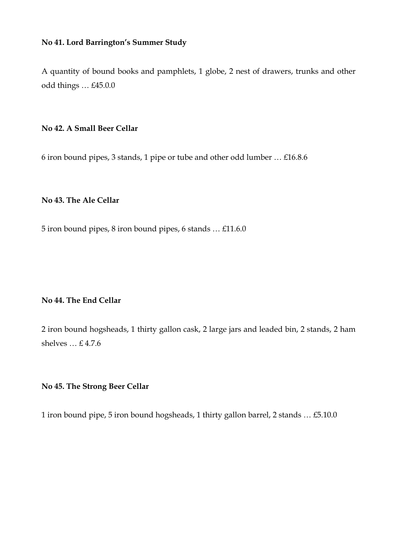## **No 41. Lord Barrington's Summer Study**

A quantity of bound books and pamphlets, 1 globe, 2 nest of drawers, trunks and other odd things … £45.0.0

## **No 42. A Small Beer Cellar**

6 iron bound pipes, 3 stands, 1 pipe or tube and other odd lumber … £16.8.6

# **No 43. The Ale Cellar**

5 iron bound pipes, 8 iron bound pipes, 6 stands … £11.6.0

# **No 44. The End Cellar**

2 iron bound hogsheads, 1 thirty gallon cask, 2 large jars and leaded bin, 2 stands, 2 ham shelves … £ 4.7.6

## **No 45. The Strong Beer Cellar**

1 iron bound pipe, 5 iron bound hogsheads, 1 thirty gallon barrel, 2 stands … £5.10.0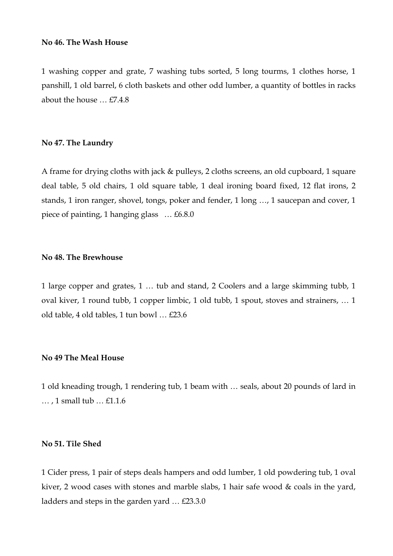#### **No 46. The Wash House**

1 washing copper and grate, 7 washing tubs sorted, 5 long tourms, 1 clothes horse, 1 panshill, 1 old barrel, 6 cloth baskets and other odd lumber, a quantity of bottles in racks about the house … £7.4.8

#### **No 47. The Laundry**

A frame for drying cloths with jack & pulleys, 2 cloths screens, an old cupboard, 1 square deal table, 5 old chairs, 1 old square table, 1 deal ironing board fixed, 12 flat irons, 2 stands, 1 iron ranger, shovel, tongs, poker and fender, 1 long …, 1 saucepan and cover, 1 piece of painting, 1 hanging glass … £6.8.0

### **No 48. The Brewhouse**

1 large copper and grates, 1 … tub and stand, 2 Coolers and a large skimming tubb, 1 oval kiver, 1 round tubb, 1 copper limbic, 1 old tubb, 1 spout, stoves and strainers, … 1 old table, 4 old tables, 1 tun bowl … £23.6

## **No 49 The Meal House**

1 old kneading trough, 1 rendering tub, 1 beam with … seals, about 20 pounds of lard in … , 1 small tub … £1.1.6

## **No 51. Tile Shed**

1 Cider press, 1 pair of steps deals hampers and odd lumber, 1 old powdering tub, 1 oval kiver, 2 wood cases with stones and marble slabs, 1 hair safe wood & coals in the yard, ladders and steps in the garden yard … £23.3.0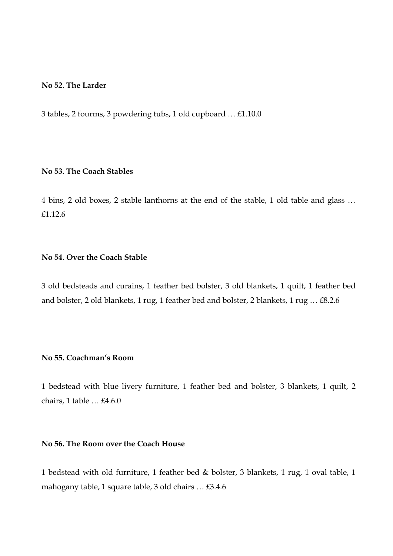## **No 52. The Larder**

3 tables, 2 fourms, 3 powdering tubs, 1 old cupboard … £1.10.0

# **No 53. The Coach Stables**

4 bins, 2 old boxes, 2 stable lanthorns at the end of the stable, 1 old table and glass … £1.12.6

# **No 54. Over the Coach Stable**

3 old bedsteads and curains, 1 feather bed bolster, 3 old blankets, 1 quilt, 1 feather bed and bolster, 2 old blankets, 1 rug, 1 feather bed and bolster, 2 blankets, 1 rug … £8.2.6

# **No 55. Coachman's Room**

1 bedstead with blue livery furniture, 1 feather bed and bolster, 3 blankets, 1 quilt, 2 chairs, 1 table … £4.6.0

## **No 56. The Room over the Coach House**

1 bedstead with old furniture, 1 feather bed & bolster, 3 blankets, 1 rug, 1 oval table, 1 mahogany table, 1 square table, 3 old chairs … £3.4.6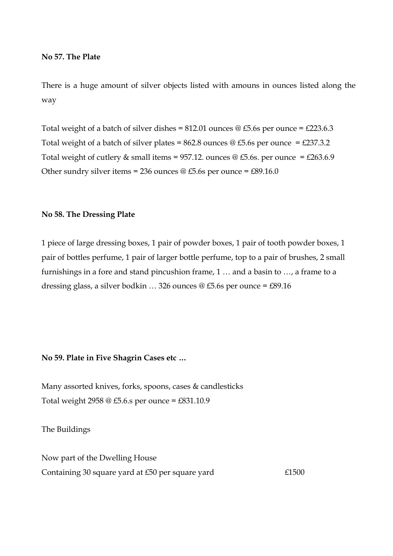## **No 57. The Plate**

There is a huge amount of silver objects listed with amouns in ounces listed along the way

Total weight of a batch of silver dishes = 812.01 ounces  $\textcircled{ } 45.6$ s per ounce = £223.6.3 Total weight of a batch of silver plates = 862.8 ounces @ £5.6s per ounce = £237.3.2 Total weight of cutlery & small items = 957.12. ounces @ £5.6s. per ounce = £263.6.9 Other sundry silver items = 236 ounces  $\textcircled{g}$  £5.6s per ounce = £89.16.0

### **No 58. The Dressing Plate**

1 piece of large dressing boxes, 1 pair of powder boxes, 1 pair of tooth powder boxes, 1 pair of bottles perfume, 1 pair of larger bottle perfume, top to a pair of brushes, 2 small furnishings in a fore and stand pincushion frame, 1 … and a basin to …, a frame to a dressing glass, a silver bodkin … 326 ounces @ £5.6s per ounce = £89.16

### **No 59. Plate in Five Shagrin Cases etc …**

Many assorted knives, forks, spoons, cases & candlesticks Total weight 2958 @ £5.6.s per ounce = £831.10.9

The Buildings

Now part of the Dwelling House Containing 30 square yard at £50 per square yard  $£1500$